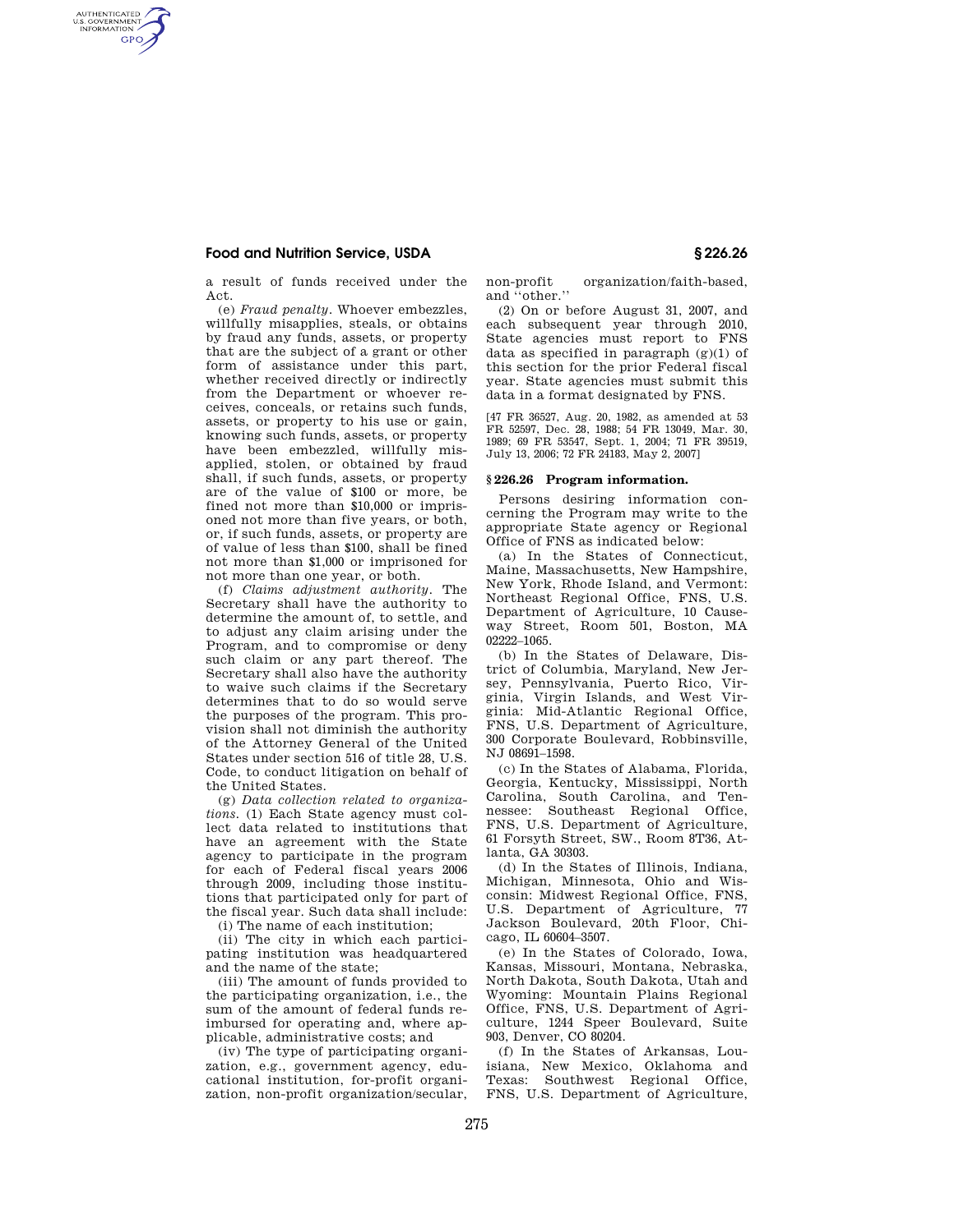## **Food and Nutrition Service, USDA § 226.26**

AUTHENTICATED<br>U.S. GOVERNMENT<br>INFORMATION **GPO** 

> a result of funds received under the Act.

(e) *Fraud penalty.* Whoever embezzles, willfully misapplies, steals, or obtains by fraud any funds, assets, or property that are the subject of a grant or other form of assistance under this part, whether received directly or indirectly from the Department or whoever receives, conceals, or retains such funds, assets, or property to his use or gain, knowing such funds, assets, or property have been embezzled, willfully misapplied, stolen, or obtained by fraud shall, if such funds, assets, or property are of the value of \$100 or more, be fined not more than \$10,000 or imprisoned not more than five years, or both, or, if such funds, assets, or property are of value of less than \$100, shall be fined not more than \$1,000 or imprisoned for not more than one year, or both.

(f) *Claims adjustment authority.* The Secretary shall have the authority to determine the amount of, to settle, and to adjust any claim arising under the Program, and to compromise or deny such claim or any part thereof. The Secretary shall also have the authority to waive such claims if the Secretary determines that to do so would serve the purposes of the program. This provision shall not diminish the authority of the Attorney General of the United States under section 516 of title 28, U.S. Code, to conduct litigation on behalf of the United States.

(g) *Data collection related to organizations.* (1) Each State agency must collect data related to institutions that have an agreement with the State agency to participate in the program for each of Federal fiscal years 2006 through 2009, including those institutions that participated only for part of the fiscal year. Such data shall include:

(i) The name of each institution;

(ii) The city in which each participating institution was headquartered and the name of the state;

(iii) The amount of funds provided to the participating organization, i.e., the sum of the amount of federal funds reimbursed for operating and, where applicable, administrative costs; and

(iv) The type of participating organization, e.g., government agency, educational institution, for-profit organization, non-profit organization/secular, non-profit organization/faith-based, and ''other.''

(2) On or before August 31, 2007, and each subsequent year through 2010, State agencies must report to FNS data as specified in paragraph  $(g)(1)$  of this section for the prior Federal fiscal year. State agencies must submit this data in a format designated by FNS.

[47 FR 36527, Aug. 20, 1982, as amended at 53 FR 52597, Dec. 28, 1988; 54 FR 13049, Mar. 30, 1989; 69 FR 53547, Sept. 1, 2004; 71 FR 39519, July 13, 2006; 72 FR 24183, May 2, 2007]

## **§ 226.26 Program information.**

Persons desiring information concerning the Program may write to the appropriate State agency or Regional Office of FNS as indicated below:

(a) In the States of Connecticut, Maine, Massachusetts, New Hampshire, New York, Rhode Island, and Vermont: Northeast Regional Office, FNS, U.S. Department of Agriculture, 10 Causeway Street, Room 501, Boston, MA 02222–1065.

(b) In the States of Delaware, District of Columbia, Maryland, New Jersey, Pennsylvania, Puerto Rico, Virginia, Virgin Islands, and West Virginia: Mid-Atlantic Regional Office, FNS, U.S. Department of Agriculture, 300 Corporate Boulevard, Robbinsville, NJ 08691–1598.

(c) In the States of Alabama, Florida, Georgia, Kentucky, Mississippi, North Carolina, South Carolina, and Tennessee: Southeast Regional Office, FNS, U.S. Department of Agriculture, 61 Forsyth Street, SW., Room 8T36, Atlanta, GA 30303.

(d) In the States of Illinois, Indiana, Michigan, Minnesota, Ohio and Wisconsin: Midwest Regional Office, FNS, U.S. Department of Agriculture, 77 Jackson Boulevard, 20th Floor, Chicago, IL 60604–3507.

(e) In the States of Colorado, Iowa, Kansas, Missouri, Montana, Nebraska, North Dakota, South Dakota, Utah and Wyoming: Mountain Plains Regional Office, FNS, U.S. Department of Agriculture, 1244 Speer Boulevard, Suite 903, Denver, CO 80204.

(f) In the States of Arkansas, Louisiana, New Mexico, Oklahoma and Texas: Southwest Regional Office, FNS, U.S. Department of Agriculture,